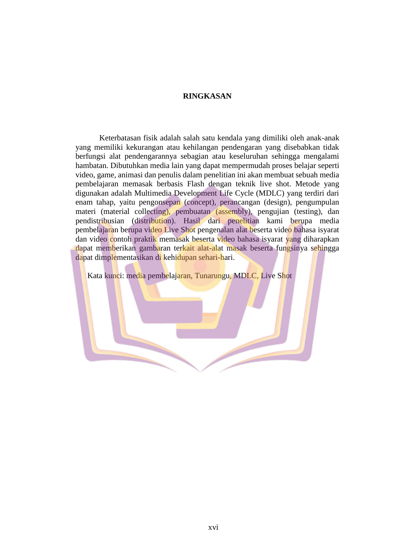## **RINGKASAN**

Keterbatasan fisik adalah salah satu kendala yang dimiliki oleh anak-anak yang memiliki kekurangan atau kehilangan pendengaran yang disebabkan tidak berfungsi alat pendengarannya sebagian atau keseluruhan sehingga mengalami hambatan. Dibutuhkan media lain yang dapat mempermudah proses belajar seperti video, game, animasi dan penulis dalam penelitian ini akan membuat sebuah media pembelajaran memasak berbasis Flash dengan teknik live shot. Metode yang digunakan adalah Multimedia Development Life Cycle (MDLC) yang terdiri dari enam tahap, yaitu pengonsepan (concept), perancangan (design), pengumpulan materi (material collecting), pembuatan (assembly), pengujian (testing), dan pendistribusian (distribution). Hasil dari penelitian kami berupa media pembelajaran berupa video Live Shot pengenalan alat beserta video bahasa isyarat dan video contoh praktik memasak beserta video bahasa isyarat yang diharapkan dapat memberikan gambaran terkait alat-alat masak beserta fungsinya sehingga dapat dimplementasikan di kehidupan sehari-hari.

Kata kunci: media pembelajaran, Tunarungu, MDLC, Live Shot